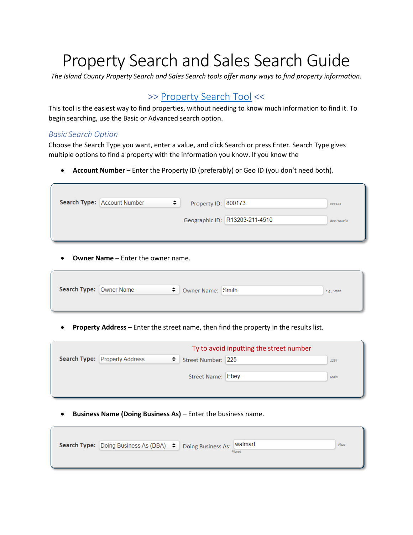# Property Search and Sales Search Guide

*The Island County Property Search and Sales Search tools offer many ways to find property information.*

## >> [Property Search](http://assessor.islandcountywa.gov/propertyaccess/PropertySearch.aspx?cid=0) Tool <<

This tool is the easiest way to find properties, without needing to know much information to find it. To begin searching, use the Basic or Advanced search option.

#### *Basic Search Option*

Choose the Search Type you want, enter a value, and click Search or press Enter. Search Type gives multiple options to find a property with the information you know. If you know the

• **Account Number** – Enter the Property ID (preferably) or Geo ID (you don't need both).

|  | Geographic ID: R13203-211-4510 | Geo Parcel # |
|--|--------------------------------|--------------|

• **Owner Name** – Enter the owner name.

| Search Type: Owner Name |  | ♦ Owner Name: Smith | e.g., Smith |
|-------------------------|--|---------------------|-------------|
|                         |  |                     |             |
|                         |  |                     |             |

• **Property Address** – Enter the street name, then find the property in the results list.

|                                           |                    | Ty to avoid inputting the street number |      |
|-------------------------------------------|--------------------|-----------------------------------------|------|
| <b>Search Type: Property Address</b><br>÷ | Street Number: 225 |                                         | 1234 |
|                                           | Street Name: Ebey  |                                         | Main |
|                                           |                    |                                         |      |

• **Business Name (Doing Business As)** – Enter the business name.

| Search Type: Doing Business As (DBA) ♦ Doing Business As: Walmart |  |        | Pizza |
|-------------------------------------------------------------------|--|--------|-------|
|                                                                   |  | Planet |       |
|                                                                   |  |        |       |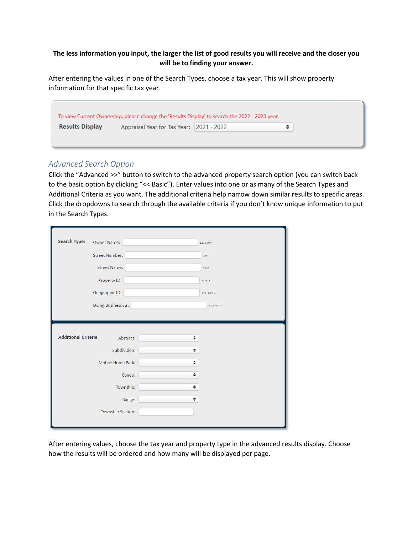#### **The less information you input, the larger the list of good results you will receive and the closer you will be to finding your answer.**

After entering the values in one of the Search Types, choose a tax year. This will show property information for that specific tax year.

|                        | To view Current Ownership, please change the 'Results Display' to search the 2022 - 2023 year. |  |
|------------------------|------------------------------------------------------------------------------------------------|--|
| <b>Results Display</b> | Appraisal Year for Tax Year: 2021 - 2022                                                       |  |
|                        |                                                                                                |  |

### *Advanced Search Option*

Click the "Advanced >>" button to switch to the advanced property search option (you can switch back to the basic option by clicking "<< Basic"). Enter values into one or as many of the Search Types and Additional Criteria as you want. The additional criteria help narrow down similar results to specific areas. Click the dropdowns to search through the available criteria if you don't know unique information to put in the Search Types.

| <b>Search Type:</b>        | Owner Name:           | e.g., Smith   |
|----------------------------|-----------------------|---------------|
|                            | <b>Street Number:</b> | 1234          |
|                            | <b>Street Name:</b>   | Main          |
|                            | Property ID:          | <b>XXXXXX</b> |
|                            | Geographic ID:        | Geo Parcel #  |
|                            | Doing Business As:    | Pizza Planet  |
|                            |                       |               |
| <b>Additional Criteria</b> | Abstract:             | ÷             |
|                            | Subdivision:          | ÷             |
|                            | Mobile Home Park:     | ÷             |
|                            | Condo:                | ÷             |
|                            | Township:             | ÷             |
|                            | Range:                | ÷             |
|                            | Township Section:     |               |
|                            |                       |               |

After entering values, choose the tax year and property type in the advanced results display. Choose how the results will be ordered and how many will be displayed per page.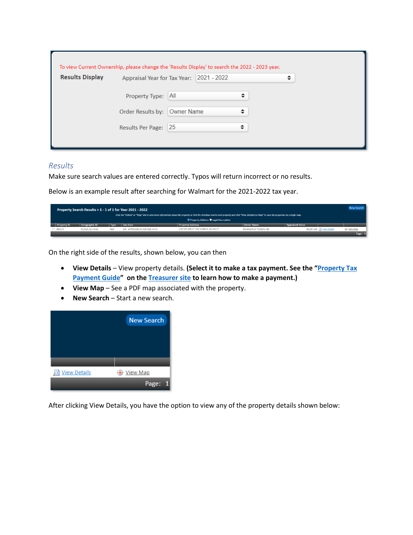| <b>Results Display</b> | Appraisal Year for Tax Year: 2021 - 2022 |            |  | ▴<br>$\overline{\phantom{a}}$ |
|------------------------|------------------------------------------|------------|--|-------------------------------|
|                        | Property Type: All                       |            |  |                               |
|                        | Order Results by:                        | Owner Name |  |                               |
|                        | Results Per Page: 25                     |            |  |                               |

#### *Results*

Make sure search values are entered correctly. Typos will return incorrect or no results.

Below is an example result after searching for Walmart for the 2021-2022 tax year.

|                    |                 |             | Property Search Results > 1 - 1 of 1 for Year 2021 - 2022 |                                                                                                                                                                                                    |                        |                          | New Search |
|--------------------|-----------------|-------------|-----------------------------------------------------------|----------------------------------------------------------------------------------------------------------------------------------------------------------------------------------------------------|------------------------|--------------------------|------------|
|                    |                 |             |                                                           | Click the "Details" or "Map" link to view more information about the property or click the checkbox next to each property and click "View Selected on Map" to view the properties on a single map. |                        |                          |            |
|                    |                 |             |                                                           | O Property Address O Legal Description                                                                                                                                                             |                        |                          |            |
| <b>Property ID</b> | Geographic ID   | <b>Type</b> | <b>Tax Area</b>                                           | <b>Property Address</b>                                                                                                                                                                            | <b>Owner Name</b>      | <b>Appraised Value</b>   |            |
| 300173             | R13203-211-4510 | Real        | 100 - APPRAISER-OH Schl Dist, in OH                       | 1250 SW ERIE ST OAK HARBOR, WA 98277                                                                                                                                                               | RAVENWOOD TOWERS, INC. | \$8,387,168 Niew Details | View Map   |
|                    |                 |             |                                                           |                                                                                                                                                                                                    |                        |                          | Page:      |

On the right side of the results, shown below, you can then

- **View Details** View property details. **(Select it to make a tax payment. See the "[Property Tax](https://www.islandcountywa.gov/Treasurer/Documents/Tax%20Payment%20Instructions%20Dec%202021.pdf)  [Payment Guide](https://www.islandcountywa.gov/Treasurer/Documents/Tax%20Payment%20Instructions%20Dec%202021.pdf)" on the [Treasurer site](https://www.islandcountywa.gov/Treasurer/pages/PayYourTaxesOnLine.aspx) to learn how to make a payment.)**
- **View Map** See a PDF map associated with the property.
- **New Search** Start a new search.



After clicking View Details, you have the option to view any of the property details shown below: